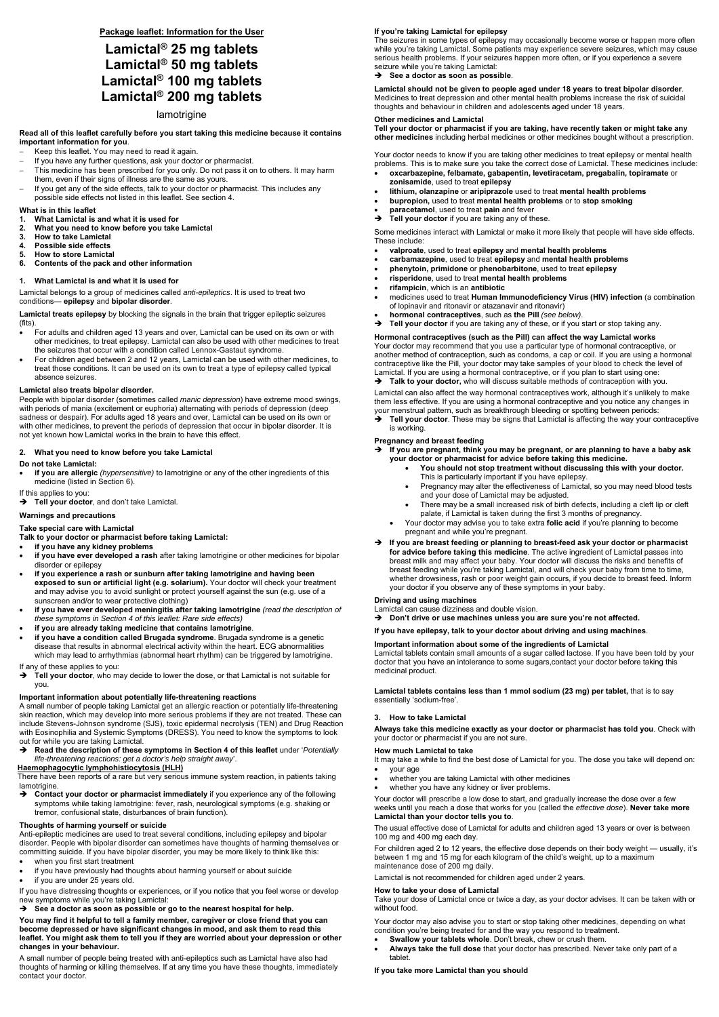**Package leaflet: Information for the User** 

# **Lamictal® 25 mg tablets Lamictal® 50 mg tablets Lamictal® 100 mg tablets Lamictal® 200 mg tablets**

lamotrigine

#### **Read all of this leaflet carefully before you start taking this medicine because it contains important information for you**.

- Keep this leaflet. You may need to read it again.
- If you have any further questions, ask your doctor or pharmacist.
- This medicine has been prescribed for you only. Do not pass it on to others. It may harm them, even if their signs of illness are the same as yours.
- If you get any of the side effects, talk to your doctor or pharmacist. This includes any possible side effects not listed in this leaflet. See section 4.

#### **What is in this leaflet**

- **1. What Lamictal is and what it is used for**
- **2. What you need to know before you take Lamictal**
- **3. How to take Lamictal**
- **4. Possible side effects**
- **5. How to store Lamictal**
- **6. Contents of the pack and other information**

#### **1. What Lamictal is and what it is used for**

Lamictal belongs to a group of medicines called *anti-epileptics*. It is used to treat two conditions— **epilepsy** and **bipolar disorder**.

**Lamictal treats epilepsy** by blocking the signals in the brain that trigger epileptic seizures (fits).

- For adults and children aged 13 years and over, Lamictal can be used on its own or with other medicines, to treat epilepsy. Lamictal can also be used with other medicines to treat the seizures that occur with a condition called Lennox-Gastaut syndrome.
- For children aged between 2 and 12 years, Lamictal can be used with other medicines, to treat those conditions. It can be used on its own to treat a type of epilepsy called typical absence seizures.

#### **Lamictal also treats bipolar disorder.**

**→** Tell your doctor, who may decide to lower the dose, or that Lamictal is not suitable for you.

People with bipolar disorder (sometimes called *manic depression*) have extreme mood swings, with periods of mania (excitement or euphoria) alternating with periods of depression (deep sadness or despair). For adults aged 18 years and over, Lamictal can be used on its own or with other medicines, to prevent the periods of depression that occur in bipolar disorder. It is not yet known how Lamictal works in the brain to have this effect.

#### **2. What you need to know before you take Lamictal**

#### **Do not take Lamictal:**

→ Contact your doctor or pharmacist immediately if you experience any of the following symptoms while taking lamotrigine: fever, rash, neurological symptoms (e.g. shaking or tremor, confusional state, disturbances of brain function).

 **if you are allergic** *(hypersensitive)* to lamotrigine or any of the other ingredients of this medicine (listed in Section 6).

#### If this applies to you:

 $\rightarrow$  Tell your doctor, and don't take Lamictal.

#### **Warnings and precautions**

### **Take special care with Lamictal**

**Talk to your doctor or pharmacist before taking Lamictal:** 

- **if you have any kidney problems**
- **if you have ever developed a rash** after taking lamotrigine or other medicines for bipolar disorder or epilepsy
- **if you experience a rash or sunburn after taking lamotrigine and having been exposed to sun or artificial light (e.g. solarium).** Your doctor will check your treatment and may advise you to avoid sunlight or protect yourself against the sun (e.g. use of a sunscreen and/or to wear protective clothing)
- **if you have ever developed meningitis after taking lamotrigine** *(read the description of these symptoms in Section 4 of this leaflet: Rare side effects)*
- **if you are already taking medicine that contains lamotrigine**.
- **if you have a condition called Brugada syndrome**. Brugada syndrome is a genetic disease that results in abnormal electrical activity within the heart. ECG abnormalities which may lead to arrhythmias (abnormal heart rhythm) can be triggered by lamotrigine.
- **oxcarbazepine, felbamate, gabapentin, levetiracetam, pregabalin, topiramate** or **zonisamide**, used to treat **epilepsy**
- **lithium, olanzapine** or **aripiprazole** used to treat **mental health problems**
- **bupropion,** used to treat **mental health problems** or to **stop smoking**
- **paracetamol**, used to treat **pain** and fever **Tell your doctor** if you are taking any of these.

#### If any of these applies to you:

- **valproate**, used to treat **epilepsy** and **mental health problems**
- **carbamazepine**, used to treat **epilepsy** and **mental health problems**
- **phenytoin, primidone** or **phenobarbitone**, used to treat **epilepsy**
- **risperidone**, used to treat **mental health problems**
- **rifampicin**, which is an **antibiotic**
- medicines used to treat **Human Immunodeficiency Virus (HIV) infection** (a combination of lopinavir and ritonavir or atazanavir and ritonavir)
- **hormonal contraceptives**, such as **the Pill** *(see below)*.
- → Tell your doctor if you are taking any of these, or if you start or stop taking any.

### **Important information about potentially life-threatening reactions**

A small number of people taking Lamictal get an allergic reaction or potentially life-threatening skin reaction, which may develop into more serious problems if they are not treated. These can include Stevens-Johnson syndrome (SJS), toxic epidermal necrolysis (TEN) and Drug Reaction with Eosinophilia and Systemic Symptoms (DRESS). You need to know the symptoms to look out for while you are taking Lamictal.

 **Read the description of these symptoms in Section 4 of this leaflet** under '*Potentially life-threatening reactions: get a doctor's help straight away*'.

#### **Haemophagocytic lymphohistiocytosis (HLH)**

 There have been reports of a rare but very serious immune system reaction, in patients taking lamotrigine.

#### **Thoughts of harming yourself or suicide**

Anti-epileptic medicines are used to treat several conditions, including epilepsy and bipolar disorder. People with bipolar disorder can sometimes have thoughts of harming themselves or committing suicide. If you have bipolar disorder, you may be more likely to think like this:

- when you first start treatment
- if you have previously had thoughts about harming yourself or about suicide
- if you are under 25 years old.

If you have distressing thoughts or experiences, or if you notice that you feel worse or develop new symptoms while you're taking Lamictal:

→ See a doctor as soon as possible or go to the nearest hospital for help.

**You may find it helpful to tell a family member, caregiver or close friend that you can become depressed or have significant changes in mood, and ask them to read this leaflet. You might ask them to tell you if they are worried about your depression or other changes in your behaviour.** 

A small number of people being treated with anti-epileptics such as Lamictal have also had thoughts of harming or killing themselves. If at any time you have these thoughts, immediately contact your doctor.

#### **If you're taking Lamictal for epilepsy**

The seizures in some types of epilepsy may occasionally become worse or happen more often while you're taking Lamictal. Some patients may experience severe seizures, which may cause serious health problems. If your seizures happen more often, or if you experience a severe seizure while you're taking Lamictal:

#### **→** See a doctor as soon as possible.

**Lamictal should not be given to people aged under 18 years to treat bipolar disorder**. Medicines to treat depression and other mental health problems increase the risk of suicidal thoughts and behaviour in children and adolescents aged under 18 years.

#### **Other medicines and Lamictal**

**Tell your doctor or pharmacist if you are taking, have recently taken or might take any other medicines** including herbal medicines or other medicines bought without a prescription.

Your doctor needs to know if you are taking other medicines to treat epilepsy or mental health problems. This is to make sure you take the correct dose of Lamictal. These medicines include:

Some medicines interact with Lamictal or make it more likely that people will have side effects. These include:

#### **Hormonal contraceptives (such as the Pill) can affect the way Lamictal works**

Your doctor may recommend that you use a particular type of hormonal contraceptive, or another method of contraception, such as condoms, a cap or coil. If you are using a hormonal contraceptive like the Pill, your doctor may take samples of your blood to check the level of Lamictal. If you are using a hormonal contraceptive, or if you plan to start using one:

**Talk to your doctor,** who will discuss suitable methods of contraception with you.

Lamictal can also affect the way hormonal contraceptives work, although it's unlikely to make them less effective. If you are using a hormonal contraceptive and you notice any changes in your menstrual pattern, such as breakthrough bleeding or spotting between periods:

 **Tell your doctor**. These may be signs that Lamictal is affecting the way your contraceptive is working.

#### **Pregnancy and breast feeding**

- **If you are pregnant, think you may be pregnant, or are planning to have a baby ask your doctor or pharmacist for advice before taking this medicine.** 
	- **You should not stop treatment without discussing this with your doctor.**  This is particularly important if you have epilepsy.
	- Pregnancy may alter the effectiveness of Lamictal, so you may need blood tests and your dose of Lamictal may be adjusted.
	- There may be a small increased risk of birth defects, including a cleft lip or cleft palate, if Lamictal is taken during the first 3 months of pregnancy.
	- Your doctor may advise you to take extra **folic acid** if you're planning to become pregnant and while you're pregnant.
- → If you are breast feeding or planning to breast-feed ask your doctor or pharmacist **for advice before taking this medicine**. The active ingredient of Lamictal passes into breast milk and may affect your baby. Your doctor will discuss the risks and benefits of breast feeding while you're taking Lamictal, and will check your baby from time to time, whether drowsiness, rash or poor weight gain occurs, if you decide to breast feed. Inform your doctor if you observe any of these symptoms in your baby.

#### **Driving and using machines**

Lamictal can cause dizziness and double vision.

→ Don't drive or use machines unless you are sure you're not affected.

#### **If you have epilepsy, talk to your doctor about driving and using machines**.

#### **Important information about some of the ingredients of Lamictal**

Lamictal tablets contain small amounts of a sugar called lactose. If you have been told by your doctor that you have an intolerance to some sugars,contact your doctor before taking this medicinal product.

**Lamictal tablets contains less than 1 mmol sodium (23 mg) per tablet,** that is to say essentially 'sodium-free'.

#### **3. How to take Lamictal**

**Always take this medicine exactly as your doctor or pharmacist has told you**. Check with your doctor or pharmacist if you are not sure.

### **How much Lamictal to take**

It may take a while to find the best dose of Lamictal for you. The dose you take will depend on:

- your age
- whether you are taking Lamictal with other medicines
- whether you have any kidney or liver problems.

Your doctor will prescribe a low dose to start, and gradually increase the dose over a few weeks until you reach a dose that works for you (called the *effective dose*). **Never take more Lamictal than your doctor tells you to**.

The usual effective dose of Lamictal for adults and children aged 13 years or over is between 100 mg and 400 mg each day.

For children aged 2 to 12 years, the effective dose depends on their body weight — usually, it's between 1 mg and 15 mg for each kilogram of the child's weight, up to a maximum maintenance dose of 200 mg daily.

Lamictal is not recommended for children aged under 2 years.

#### **How to take your dose of Lamictal**

Take your dose of Lamictal once or twice a day, as your doctor advises. It can be taken with or without food.

Your doctor may also advise you to start or stop taking other medicines, depending on what condition you're being treated for and the way you respond to treatment.

- **Swallow your tablets whole**. Don't break, chew or crush them.
- **Always take the full dose** that your doctor has prescribed. Never take only part of a tablet.

**If you take more Lamictal than you should**